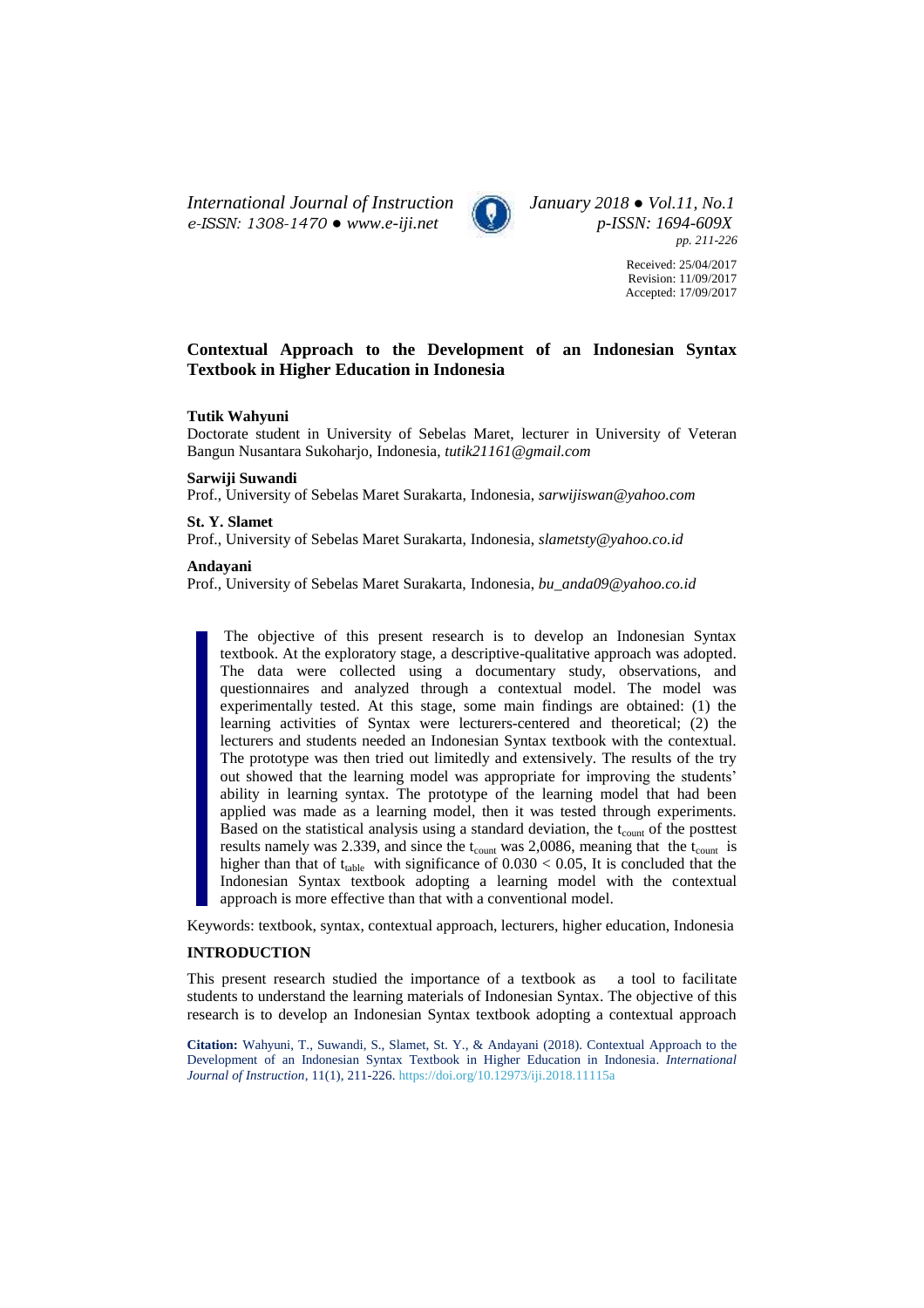*International Journal of Instruction January 2018 ● Vol.11, No.1 e-ISSN: 1308-1470 ● [www.e-iji.net](http://www.e-iji.net/) p-ISSN: 1694-609X*



*pp. 211-226*

Received: 25/04/2017 Revision: 11/09/2017 Accepted: 17/09/2017

# **Contextual Approach to the Development of an Indonesian Syntax Textbook in Higher Education in Indonesia**

#### **Tutik Wahyuni**

Doctorate student in University of Sebelas Maret, lecturer in University of Veteran Bangun Nusantara Sukoharjo, Indonesia, *tutik21161@gmail.com*

#### **Sarwiji Suwandi**

Prof., University of Sebelas Maret Surakarta, Indonesia, *sarwijiswan@yahoo.com*

### **St. Y. Slamet**

Prof., University of Sebelas Maret Surakarta, Indonesia, *slametsty@yahoo.co.id*

#### **Andayani**

Prof., University of Sebelas Maret Surakarta, Indonesia, *bu\_anda09@yahoo.co.id*

The objective of this present research is to develop an Indonesian Syntax textbook. At the exploratory stage, a descriptive-qualitative approach was adopted. The data were collected using a documentary study, observations, and questionnaires and analyzed through a contextual model. The model was experimentally tested. At this stage, some main findings are obtained: (1) the learning activities of Syntax were lecturers-centered and theoretical; (2) the lecturers and students needed an Indonesian Syntax textbook with the contextual. The prototype was then tried out limitedly and extensively. The results of the try out showed that the learning model was appropriate for improving the students' ability in learning syntax. The prototype of the learning model that had been applied was made as a learning model, then it was tested through experiments. Based on the statistical analysis using a standard deviation, the t<sub>count</sub> of the posttest results namely was 2.339, and since the  $t_{\text{count}}$  was 2,0086, meaning that the  $t_{\text{count}}$  is higher than that of  $t_{table}$  with significance of  $0.030 < 0.05$ , It is concluded that the Indonesian Syntax textbook adopting a learning model with the contextual approach is more effective than that with a conventional model.

Keywords: textbook, syntax, contextual approach, lecturers, higher education, Indonesia

### **INTRODUCTION**

This present research studied the importance of a textbook as a tool to facilitate students to understand the learning materials of Indonesian Syntax. The objective of this research is to develop an Indonesian Syntax textbook adopting a contextual approach

**Citation:** Wahyuni, T., Suwandi, S., Slamet, St. Y., & Andayani (2018). Contextual Approach to the Development of an Indonesian Syntax Textbook in Higher Education in Indonesia. *International Journal of Instruction*, 11(1), 211-226. <https://doi.org/10.12973/iji.2018.11115a>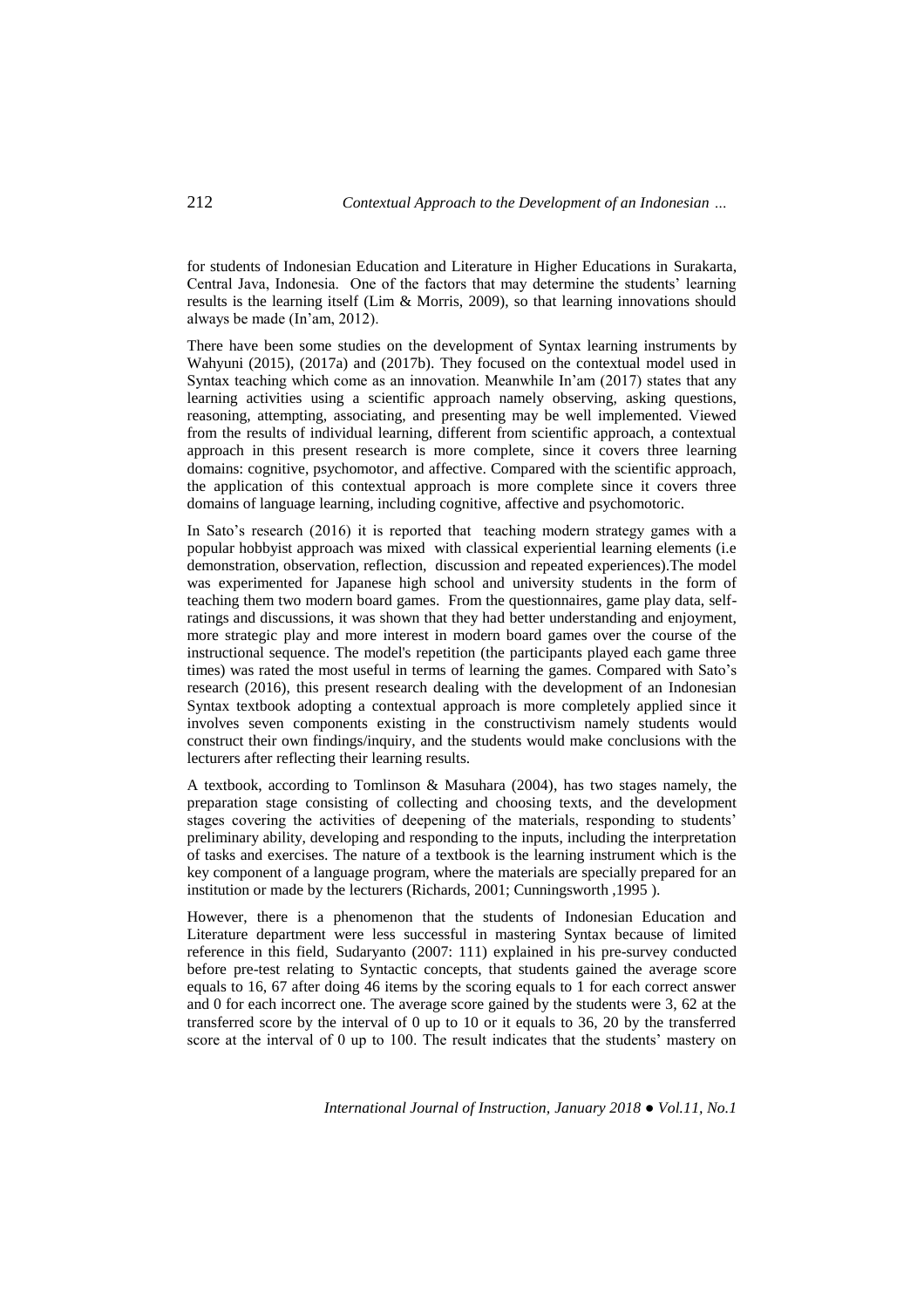for students of Indonesian Education and Literature in Higher Educations in Surakarta, Central Java, Indonesia. One of the factors that may determine the students' learning results is the learning itself (Lim & Morris, 2009), so that learning innovations should always be made (In'am, 2012).

There have been some studies on the development of Syntax learning instruments by Wahyuni (2015), (2017a) and (2017b). They focused on the contextual model used in Syntax teaching which come as an innovation. Meanwhile In'am (2017) states that any learning activities using a scientific approach namely observing, asking questions, reasoning, attempting, associating, and presenting may be well implemented. Viewed from the results of individual learning, different from scientific approach, a contextual approach in this present research is more complete, since it covers three learning domains: cognitive, psychomotor, and affective. Compared with the scientific approach, the application of this contextual approach is more complete since it covers three domains of language learning, including cognitive, affective and psychomotoric.

In Sato's research (2016) it is reported that teaching modern strategy games with a popular hobbyist approach was mixed with classical experiential learning elements (i.e demonstration, observation, reflection, discussion and repeated experiences).The model was experimented for Japanese high school and university students in the form of teaching them two modern board games. From the questionnaires, game play data, selfratings and discussions, it was shown that they had better understanding and enjoyment, more strategic play and more interest in modern board games over the course of the instructional sequence. The model's repetition (the participants played each game three times) was rated the most useful in terms of learning the games. Compared with Sato's research (2016), this present research dealing with the development of an Indonesian Syntax textbook adopting a contextual approach is more completely applied since it involves seven components existing in the constructivism namely students would construct their own findings/inquiry, and the students would make conclusions with the lecturers after reflecting their learning results.

A textbook, according to Tomlinson & Masuhara (2004), has two stages namely, the preparation stage consisting of collecting and choosing texts, and the development stages covering the activities of deepening of the materials, responding to students' preliminary ability, developing and responding to the inputs, including the interpretation of tasks and exercises. The nature of a textbook is the learning instrument which is the key component of a language program, where the materials are specially prepared for an institution or made by the lecturers (Richards, 2001; Cunningsworth ,1995 ).

However, there is a phenomenon that the students of Indonesian Education and Literature department were less successful in mastering Syntax because of limited reference in this field, Sudaryanto (2007: 111) explained in his pre-survey conducted before pre-test relating to Syntactic concepts, that students gained the average score equals to 16, 67 after doing 46 items by the scoring equals to 1 for each correct answer and 0 for each incorrect one. The average score gained by the students were 3, 62 at the transferred score by the interval of 0 up to 10 or it equals to 36, 20 by the transferred score at the interval of 0 up to 100. The result indicates that the students' mastery on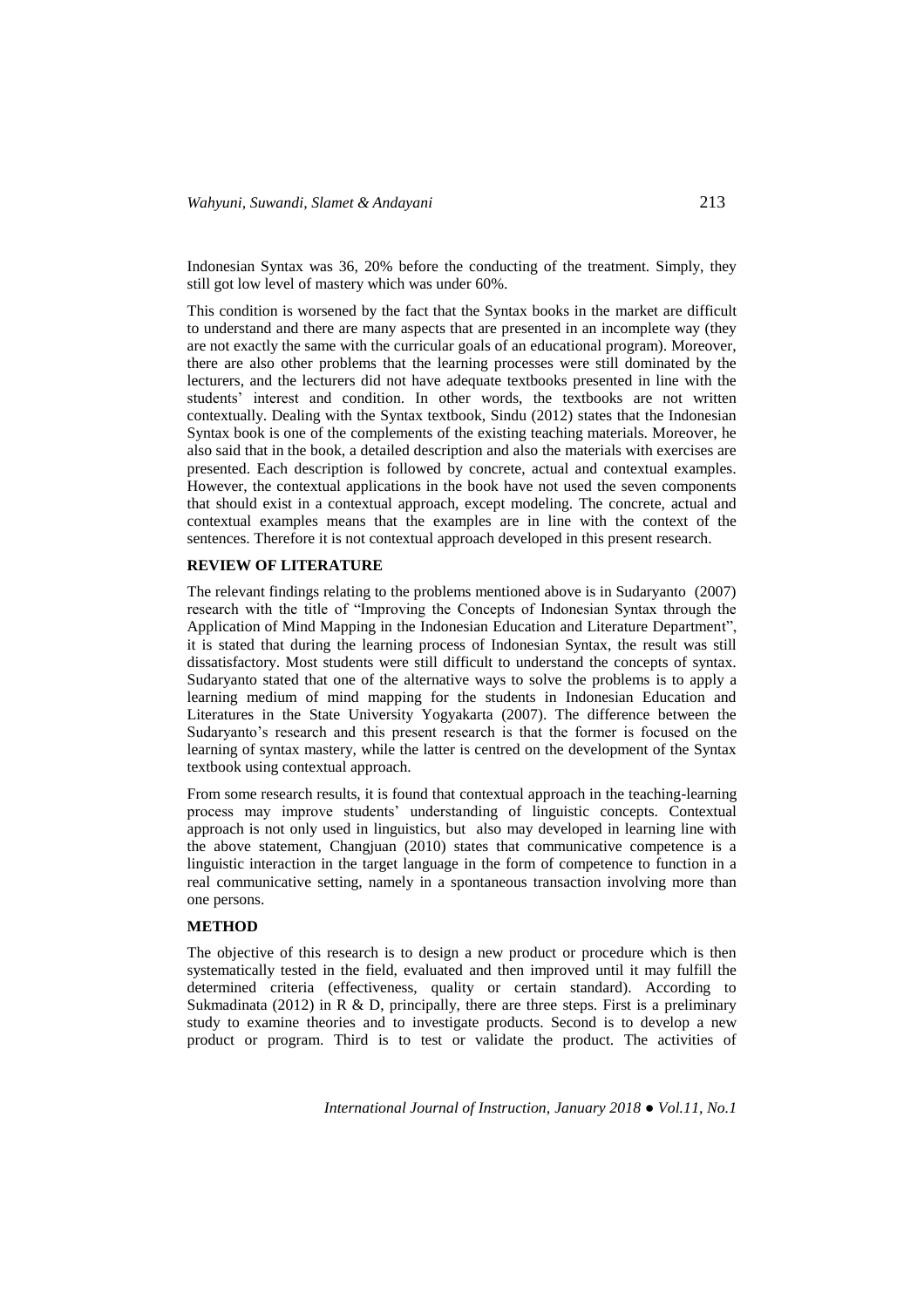Indonesian Syntax was 36, 20% before the conducting of the treatment. Simply, they still got low level of mastery which was under 60%.

This condition is worsened by the fact that the Syntax books in the market are difficult to understand and there are many aspects that are presented in an incomplete way (they are not exactly the same with the curricular goals of an educational program). Moreover, there are also other problems that the learning processes were still dominated by the lecturers, and the lecturers did not have adequate textbooks presented in line with the students' interest and condition. In other words, the textbooks are not written contextually. Dealing with the Syntax textbook, Sindu (2012) states that the Indonesian Syntax book is one of the complements of the existing teaching materials. Moreover, he also said that in the book, a detailed description and also the materials with exercises are presented. Each description is followed by concrete, actual and contextual examples. However, the contextual applications in the book have not used the seven components that should exist in a contextual approach, except modeling. The concrete, actual and contextual examples means that the examples are in line with the context of the sentences. Therefore it is not contextual approach developed in this present research.

#### **REVIEW OF LITERATURE**

The relevant findings relating to the problems mentioned above is in Sudaryanto (2007) research with the title of "Improving the Concepts of Indonesian Syntax through the Application of Mind Mapping in the Indonesian Education and Literature Department", it is stated that during the learning process of Indonesian Syntax, the result was still dissatisfactory. Most students were still difficult to understand the concepts of syntax. Sudaryanto stated that one of the alternative ways to solve the problems is to apply a learning medium of mind mapping for the students in Indonesian Education and Literatures in the State University Yogyakarta (2007). The difference between the Sudaryanto's research and this present research is that the former is focused on the learning of syntax mastery, while the latter is centred on the development of the Syntax textbook using contextual approach.

From some research results, it is found that contextual approach in the teaching-learning process may improve students' understanding of linguistic concepts. Contextual approach is not only used in linguistics, but also may developed in learning line with the above statement, Changjuan (2010) states that communicative competence is a linguistic interaction in the target language in the form of competence to function in a real communicative setting, namely in a spontaneous transaction involving more than one persons.

## **METHOD**

The objective of this research is to design a new product or procedure which is then systematically tested in the field, evaluated and then improved until it may fulfill the determined criteria (effectiveness, quality or certain standard). According to Sukmadinata (2012) in R & D, principally, there are three steps. First is a preliminary study to examine theories and to investigate products. Second is to develop a new product or program. Third is to test or validate the product. The activities of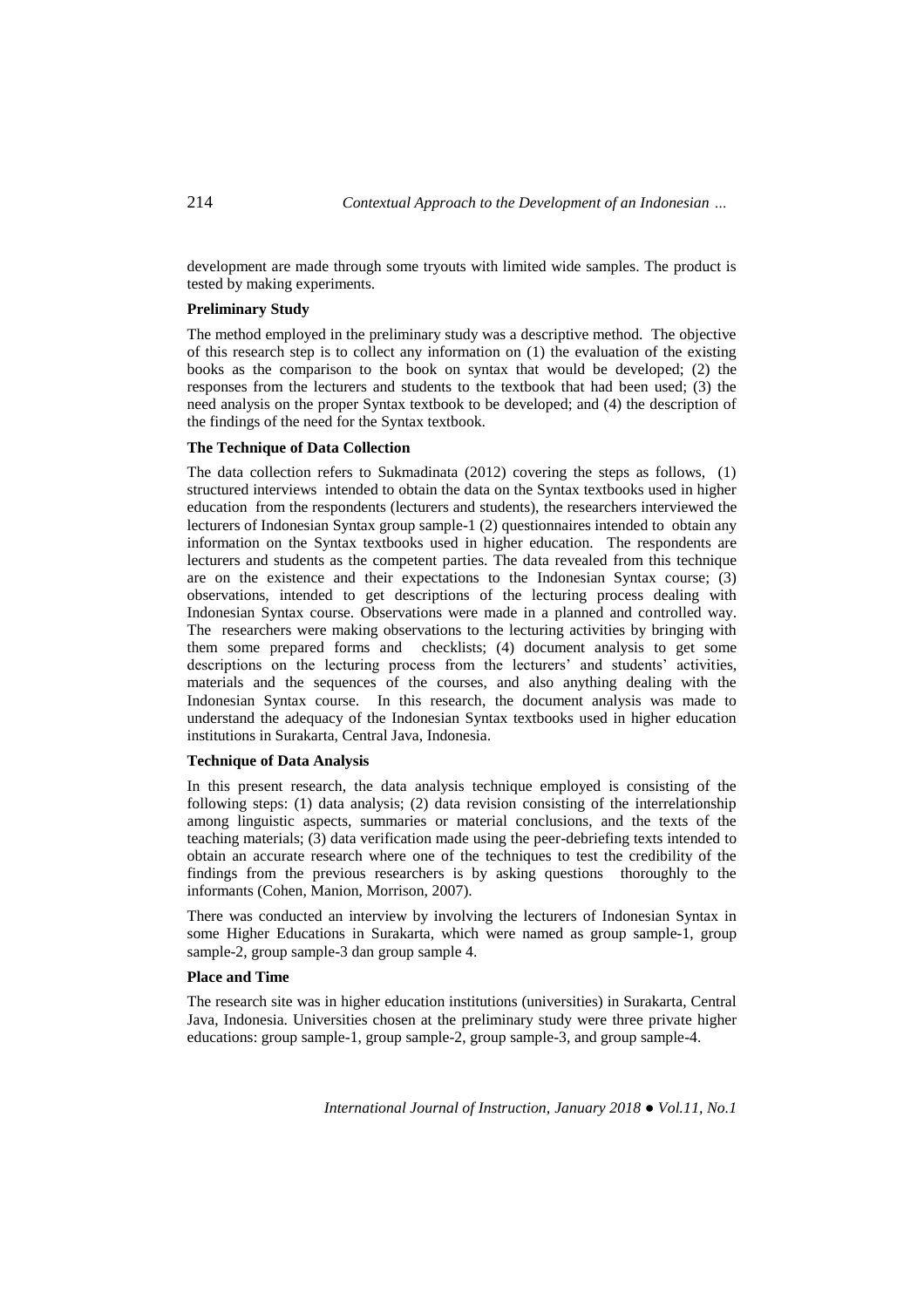development are made through some tryouts with limited wide samples. The product is tested by making experiments.

### **Preliminary Study**

The method employed in the preliminary study was a descriptive method. The objective of this research step is to collect any information on (1) the evaluation of the existing books as the comparison to the book on syntax that would be developed; (2) the responses from the lecturers and students to the textbook that had been used; (3) the need analysis on the proper Syntax textbook to be developed; and (4) the description of the findings of the need for the Syntax textbook.

### **The Technique of Data Collection**

The data collection refers to Sukmadinata (2012) covering the steps as follows, (1) structured interviews intended to obtain the data on the Syntax textbooks used in higher education from the respondents (lecturers and students), the researchers interviewed the lecturers of Indonesian Syntax group sample-1 (2) questionnaires intended to obtain any information on the Syntax textbooks used in higher education. The respondents are lecturers and students as the competent parties. The data revealed from this technique are on the existence and their expectations to the Indonesian Syntax course; (3) observations, intended to get descriptions of the lecturing process dealing with Indonesian Syntax course. Observations were made in a planned and controlled way. The researchers were making observations to the lecturing activities by bringing with them some prepared forms and checklists; (4) document analysis to get some descriptions on the lecturing process from the lecturers' and students' activities, materials and the sequences of the courses, and also anything dealing with the Indonesian Syntax course. In this research, the document analysis was made to understand the adequacy of the Indonesian Syntax textbooks used in higher education institutions in Surakarta, Central Java, Indonesia.

#### **Technique of Data Analysis**

In this present research, the data analysis technique employed is consisting of the following steps: (1) data analysis; (2) data revision consisting of the interrelationship among linguistic aspects, summaries or material conclusions, and the texts of the teaching materials; (3) data verification made using the peer-debriefing texts intended to obtain an accurate research where one of the techniques to test the credibility of the findings from the previous researchers is by asking questions thoroughly to the informants (Cohen, Manion, Morrison, 2007).

There was conducted an interview by involving the lecturers of Indonesian Syntax in some Higher Educations in Surakarta, which were named as group sample-1, group sample-2, group sample-3 dan group sample 4.

# **Place and Time**

The research site was in higher education institutions (universities) in Surakarta, Central Java, Indonesia. Universities chosen at the preliminary study were three private higher educations: group sample-1, group sample-2, group sample-3, and group sample-4.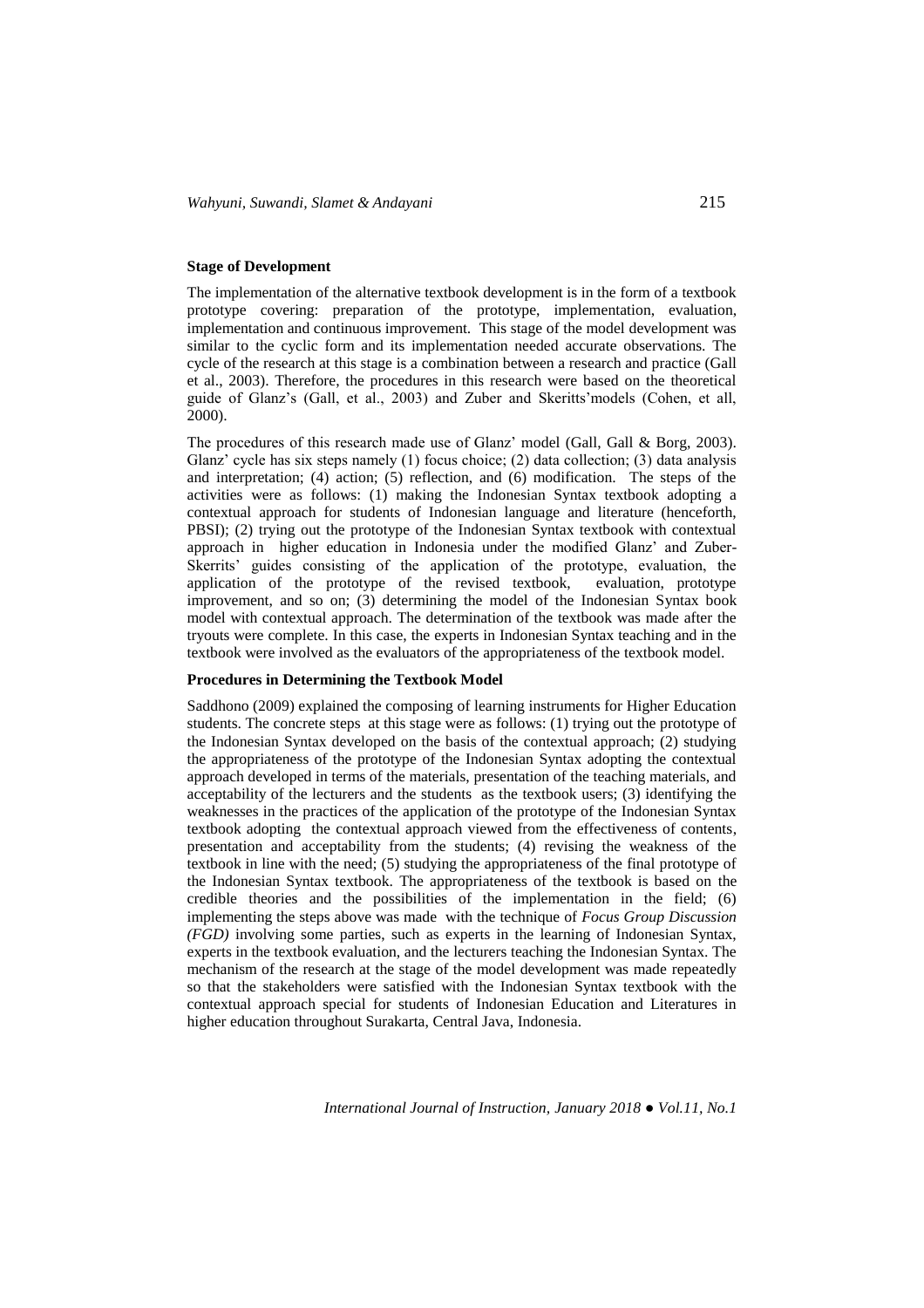# **Stage of Development**

The implementation of the alternative textbook development is in the form of a textbook prototype covering: preparation of the prototype, implementation, evaluation, implementation and continuous improvement. This stage of the model development was similar to the cyclic form and its implementation needed accurate observations. The cycle of the research at this stage is a combination between a research and practice (Gall et al., 2003). Therefore, the procedures in this research were based on the theoretical guide of Glanz's (Gall, et al., 2003) and Zuber and Skeritts'models (Cohen, et all, 2000).

The procedures of this research made use of Glanz' model (Gall, Gall & Borg, 2003). Glanz' cycle has six steps namely (1) focus choice; (2) data collection; (3) data analysis and interpretation; (4) action; (5) reflection, and (6) modification. The steps of the activities were as follows: (1) making the Indonesian Syntax textbook adopting a contextual approach for students of Indonesian language and literature (henceforth, PBSI); (2) trying out the prototype of the Indonesian Syntax textbook with contextual approach in higher education in Indonesia under the modified Glanz' and Zuber-Skerrits' guides consisting of the application of the prototype, evaluation, the application of the prototype of the revised textbook, evaluation, prototype improvement, and so on; (3) determining the model of the Indonesian Syntax book model with contextual approach. The determination of the textbook was made after the tryouts were complete. In this case, the experts in Indonesian Syntax teaching and in the textbook were involved as the evaluators of the appropriateness of the textbook model.

#### **Procedures in Determining the Textbook Model**

Saddhono (2009) explained the composing of learning instruments for Higher Education students. The concrete steps at this stage were as follows: (1) trying out the prototype of the Indonesian Syntax developed on the basis of the contextual approach; (2) studying the appropriateness of the prototype of the Indonesian Syntax adopting the contextual approach developed in terms of the materials, presentation of the teaching materials, and acceptability of the lecturers and the students as the textbook users; (3) identifying the weaknesses in the practices of the application of the prototype of the Indonesian Syntax textbook adopting the contextual approach viewed from the effectiveness of contents, presentation and acceptability from the students; (4) revising the weakness of the textbook in line with the need; (5) studying the appropriateness of the final prototype of the Indonesian Syntax textbook. The appropriateness of the textbook is based on the credible theories and the possibilities of the implementation in the field; (6) implementing the steps above was made with the technique of *Focus Group Discussion (FGD)* involving some parties, such as experts in the learning of Indonesian Syntax, experts in the textbook evaluation, and the lecturers teaching the Indonesian Syntax. The mechanism of the research at the stage of the model development was made repeatedly so that the stakeholders were satisfied with the Indonesian Syntax textbook with the contextual approach special for students of Indonesian Education and Literatures in higher education throughout Surakarta, Central Java, Indonesia.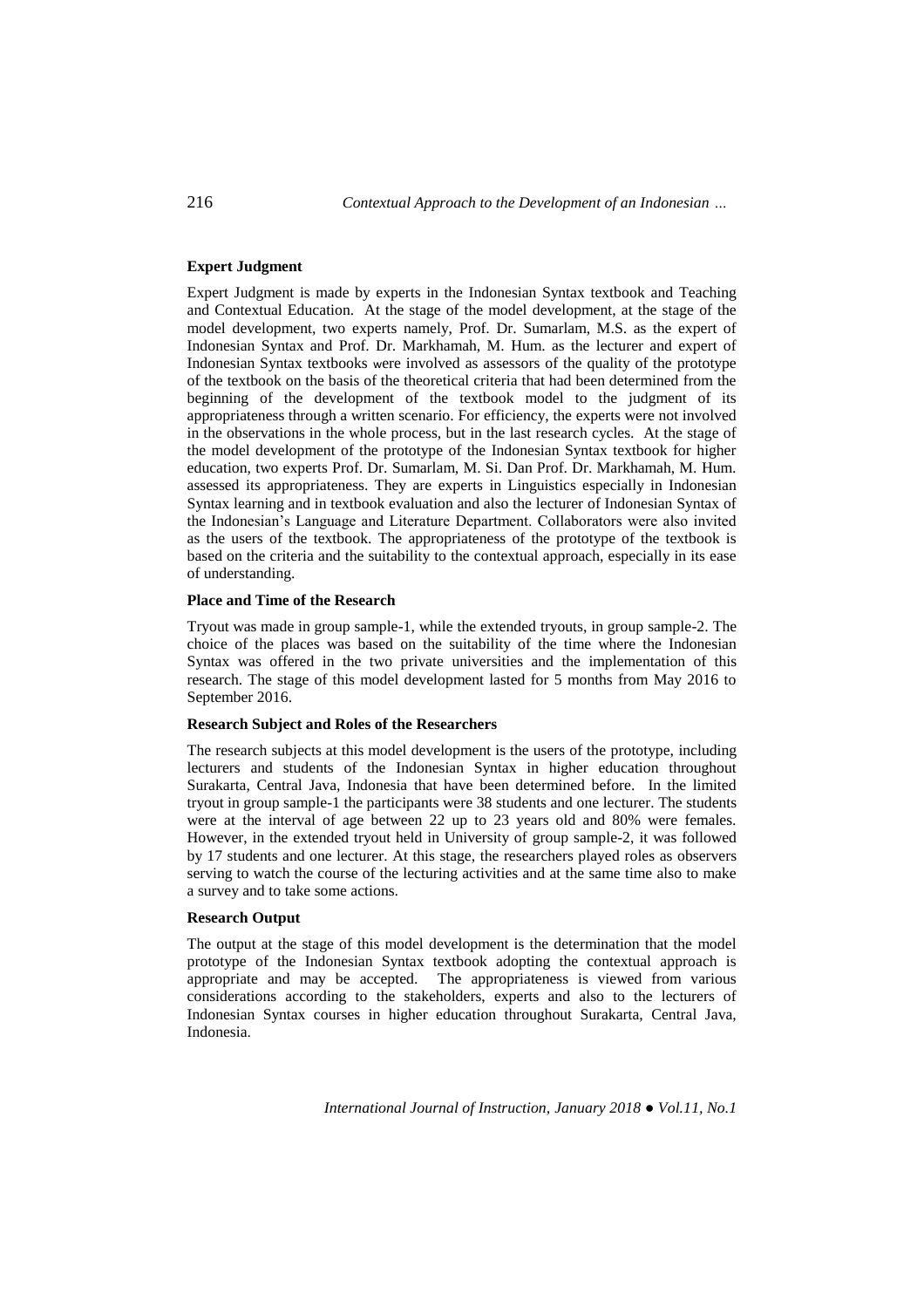## **Expert Judgment**

Expert Judgment is made by experts in the Indonesian Syntax textbook and Teaching and Contextual Education. At the stage of the model development, at the stage of the model development, two experts namely, Prof. Dr. Sumarlam, M.S. as the expert of Indonesian Syntax and Prof. Dr. Markhamah, M. Hum. as the lecturer and expert of Indonesian Syntax textbooks were involved as assessors of the quality of the prototype of the textbook on the basis of the theoretical criteria that had been determined from the beginning of the development of the textbook model to the judgment of its appropriateness through a written scenario. For efficiency, the experts were not involved in the observations in the whole process, but in the last research cycles. At the stage of the model development of the prototype of the Indonesian Syntax textbook for higher education, two experts Prof. Dr. Sumarlam, M. Si. Dan Prof. Dr. Markhamah, M. Hum. assessed its appropriateness. They are experts in Linguistics especially in Indonesian Syntax learning and in textbook evaluation and also the lecturer of Indonesian Syntax of the Indonesian's Language and Literature Department. Collaborators were also invited as the users of the textbook. The appropriateness of the prototype of the textbook is based on the criteria and the suitability to the contextual approach, especially in its ease of understanding.

### **Place and Time of the Research**

Tryout was made in group sample-1, while the extended tryouts, in group sample-2. The choice of the places was based on the suitability of the time where the Indonesian Syntax was offered in the two private universities and the implementation of this research. The stage of this model development lasted for 5 months from May 2016 to September 2016.

### **Research Subject and Roles of the Researchers**

The research subjects at this model development is the users of the prototype, including lecturers and students of the Indonesian Syntax in higher education throughout Surakarta, Central Java, Indonesia that have been determined before. In the limited tryout in group sample-1 the participants were 38 students and one lecturer. The students were at the interval of age between 22 up to 23 years old and 80% were females. However, in the extended tryout held in University of group sample-2, it was followed by 17 students and one lecturer. At this stage, the researchers played roles as observers serving to watch the course of the lecturing activities and at the same time also to make a survey and to take some actions.

### **Research Output**

The output at the stage of this model development is the determination that the model prototype of the Indonesian Syntax textbook adopting the contextual approach is appropriate and may be accepted. The appropriateness is viewed from various considerations according to the stakeholders, experts and also to the lecturers of Indonesian Syntax courses in higher education throughout Surakarta, Central Java, Indonesia.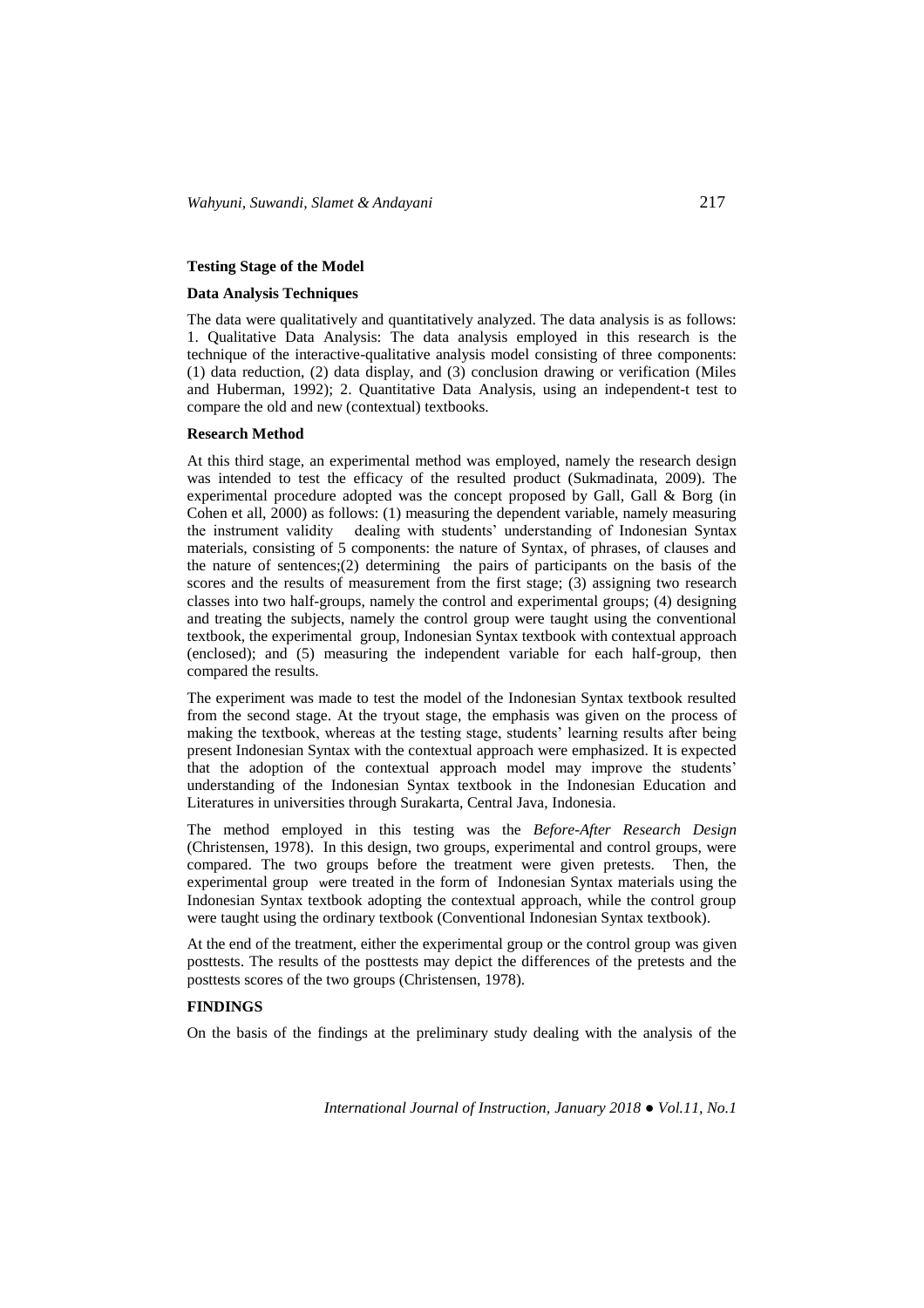# **Testing Stage of the Model**

### **Data Analysis Techniques**

The data were qualitatively and quantitatively analyzed. The data analysis is as follows: 1. Qualitative Data Analysis: The data analysis employed in this research is the technique of the interactive-qualitative analysis model consisting of three components: (1) data reduction, (2) data display, and (3) conclusion drawing or verification (Miles and Huberman, 1992); 2. Quantitative Data Analysis, using an independent-t test to compare the old and new (contextual) textbooks.

## **Research Method**

At this third stage, an experimental method was employed, namely the research design was intended to test the efficacy of the resulted product (Sukmadinata, 2009). The experimental procedure adopted was the concept proposed by Gall, Gall & Borg (in Cohen et all, 2000) as follows: (1) measuring the dependent variable, namely measuring the instrument validity dealing with students' understanding of Indonesian Syntax materials, consisting of 5 components: the nature of Syntax, of phrases, of clauses and the nature of sentences;(2) determining the pairs of participants on the basis of the scores and the results of measurement from the first stage; (3) assigning two research classes into two half-groups, namely the control and experimental groups; (4) designing and treating the subjects, namely the control group were taught using the conventional textbook, the experimental group, Indonesian Syntax textbook with contextual approach (enclosed); and (5) measuring the independent variable for each half-group, then compared the results.

The experiment was made to test the model of the Indonesian Syntax textbook resulted from the second stage. At the tryout stage, the emphasis was given on the process of making the textbook, whereas at the testing stage, students' learning results after being present Indonesian Syntax with the contextual approach were emphasized. It is expected that the adoption of the contextual approach model may improve the students' understanding of the Indonesian Syntax textbook in the Indonesian Education and Literatures in universities through Surakarta, Central Java, Indonesia.

The method employed in this testing was the *Before-After Research Design* (Christensen, 1978). In this design, two groups, experimental and control groups, were compared. The two groups before the treatment were given pretests. Then, the experimental group were treated in the form of Indonesian Syntax materials using the Indonesian Syntax textbook adopting the contextual approach, while the control group were taught using the ordinary textbook (Conventional Indonesian Syntax textbook).

At the end of the treatment, either the experimental group or the control group was given posttests. The results of the posttests may depict the differences of the pretests and the posttests scores of the two groups (Christensen, 1978).

#### **FINDINGS**

On the basis of the findings at the preliminary study dealing with the analysis of the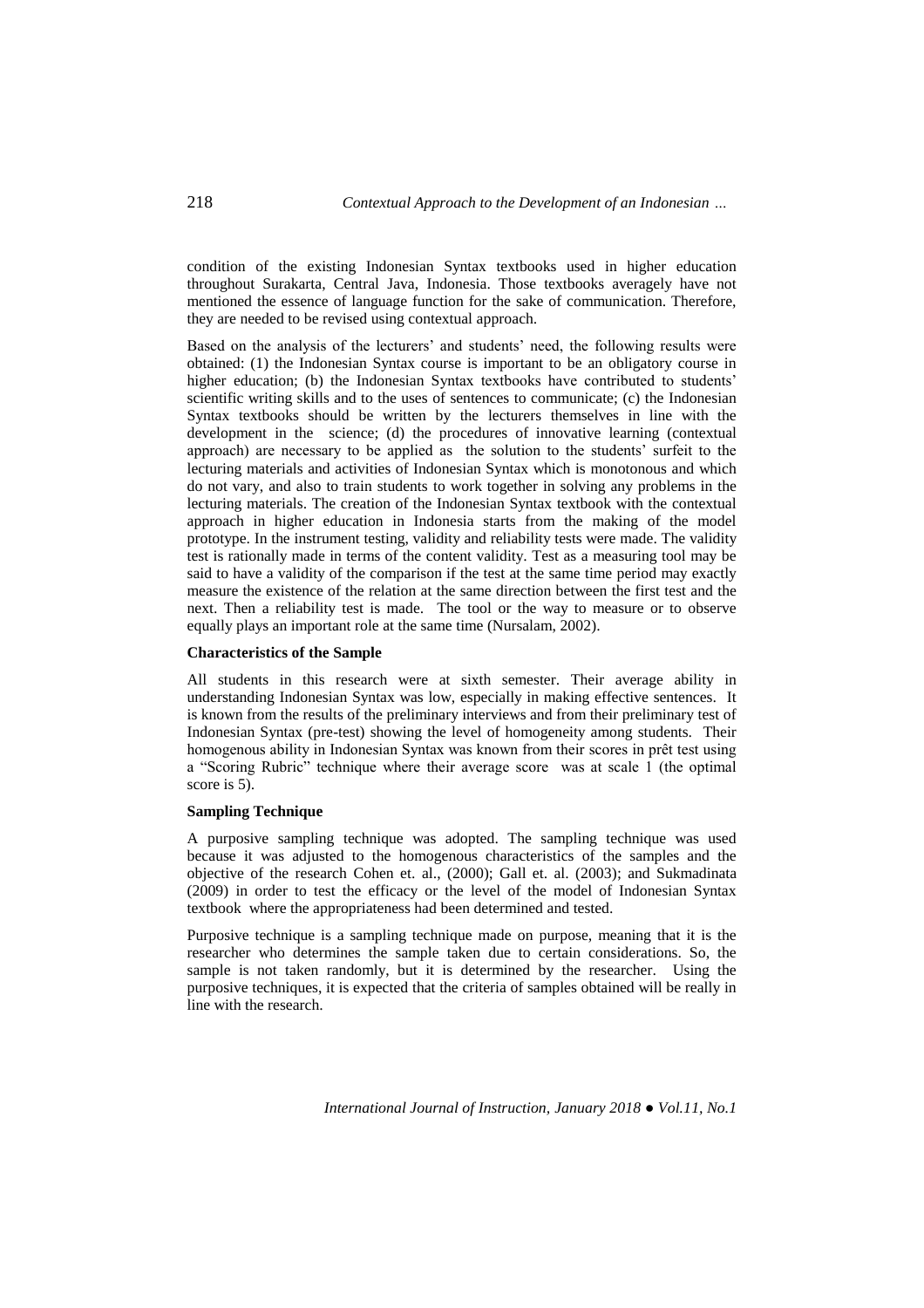condition of the existing Indonesian Syntax textbooks used in higher education throughout Surakarta, Central Java, Indonesia. Those textbooks averagely have not mentioned the essence of language function for the sake of communication. Therefore, they are needed to be revised using contextual approach.

Based on the analysis of the lecturers' and students' need, the following results were obtained: (1) the Indonesian Syntax course is important to be an obligatory course in higher education; (b) the Indonesian Syntax textbooks have contributed to students' scientific writing skills and to the uses of sentences to communicate; (c) the Indonesian Syntax textbooks should be written by the lecturers themselves in line with the development in the science; (d) the procedures of innovative learning (contextual approach) are necessary to be applied as the solution to the students' surfeit to the lecturing materials and activities of Indonesian Syntax which is monotonous and which do not vary, and also to train students to work together in solving any problems in the lecturing materials. The creation of the Indonesian Syntax textbook with the contextual approach in higher education in Indonesia starts from the making of the model prototype. In the instrument testing, validity and reliability tests were made. The validity test is rationally made in terms of the content validity. Test as a measuring tool may be said to have a validity of the comparison if the test at the same time period may exactly measure the existence of the relation at the same direction between the first test and the next. Then a reliability test is made. The tool or the way to measure or to observe equally plays an important role at the same time (Nursalam, 2002).

### **Characteristics of the Sample**

All students in this research were at sixth semester. Their average ability in understanding Indonesian Syntax was low, especially in making effective sentences. It is known from the results of the preliminary interviews and from their preliminary test of Indonesian Syntax (pre-test) showing the level of homogeneity among students. Their homogenous ability in Indonesian Syntax was known from their scores in prêt test using a "Scoring Rubric" technique where their average score was at scale 1 (the optimal score is 5).

### **Sampling Technique**

A purposive sampling technique was adopted. The sampling technique was used because it was adjusted to the homogenous characteristics of the samples and the objective of the research Cohen et. al., (2000); Gall et. al. (2003); and Sukmadinata (2009) in order to test the efficacy or the level of the model of Indonesian Syntax textbook where the appropriateness had been determined and tested.

Purposive technique is a sampling technique made on purpose, meaning that it is the researcher who determines the sample taken due to certain considerations. So, the sample is not taken randomly, but it is determined by the researcher. Using the purposive techniques, it is expected that the criteria of samples obtained will be really in line with the research.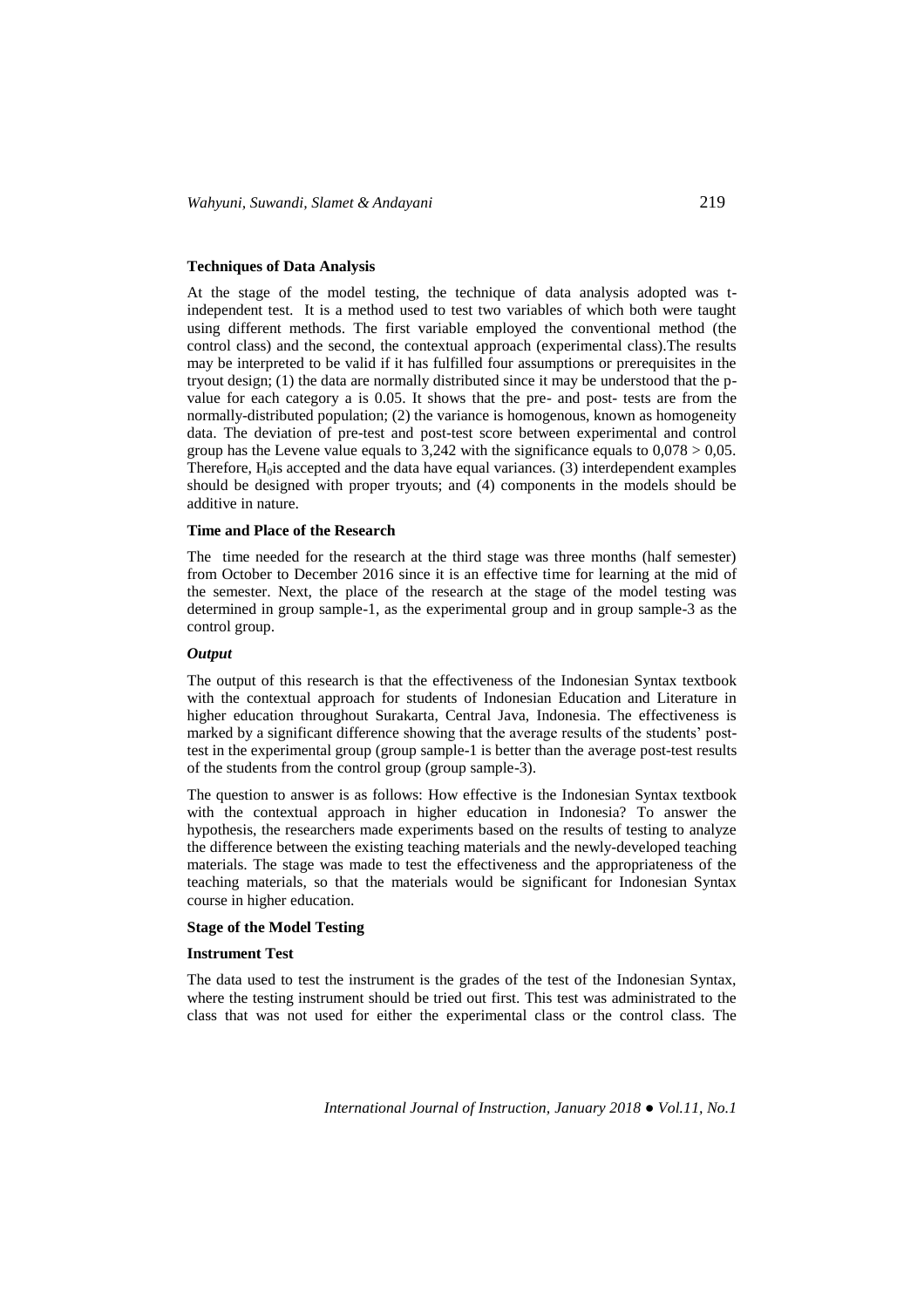#### **Techniques of Data Analysis**

At the stage of the model testing, the technique of data analysis adopted was tindependent test. It is a method used to test two variables of which both were taught using different methods. The first variable employed the conventional method (the control class) and the second, the contextual approach (experimental class).The results may be interpreted to be valid if it has fulfilled four assumptions or prerequisites in the tryout design; (1) the data are normally distributed since it may be understood that the pvalue for each category a is 0.05. It shows that the pre- and post- tests are from the normally-distributed population; (2) the variance is homogenous, known as homogeneity data. The deviation of pre-test and post-test score between experimental and control group has the Levene value equals to  $3,242$  with the significance equals to  $0,078 > 0,05$ . Therefore,  $H_0$  is accepted and the data have equal variances. (3) interdependent examples should be designed with proper tryouts; and (4) components in the models should be additive in nature.

#### **Time and Place of the Research**

The time needed for the research at the third stage was three months (half semester) from October to December 2016 since it is an effective time for learning at the mid of the semester. Next, the place of the research at the stage of the model testing was determined in group sample-1, as the experimental group and in group sample-3 as the control group.

### *Output*

The output of this research is that the effectiveness of the Indonesian Syntax textbook with the contextual approach for students of Indonesian Education and Literature in higher education throughout Surakarta, Central Java, Indonesia. The effectiveness is marked by a significant difference showing that the average results of the students' posttest in the experimental group (group sample-1 is better than the average post-test results of the students from the control group (group sample-3).

The question to answer is as follows: How effective is the Indonesian Syntax textbook with the contextual approach in higher education in Indonesia? To answer the hypothesis, the researchers made experiments based on the results of testing to analyze the difference between the existing teaching materials and the newly-developed teaching materials. The stage was made to test the effectiveness and the appropriateness of the teaching materials, so that the materials would be significant for Indonesian Syntax course in higher education.

## **Stage of the Model Testing**

#### **Instrument Test**

The data used to test the instrument is the grades of the test of the Indonesian Syntax, where the testing instrument should be tried out first. This test was administrated to the class that was not used for either the experimental class or the control class. The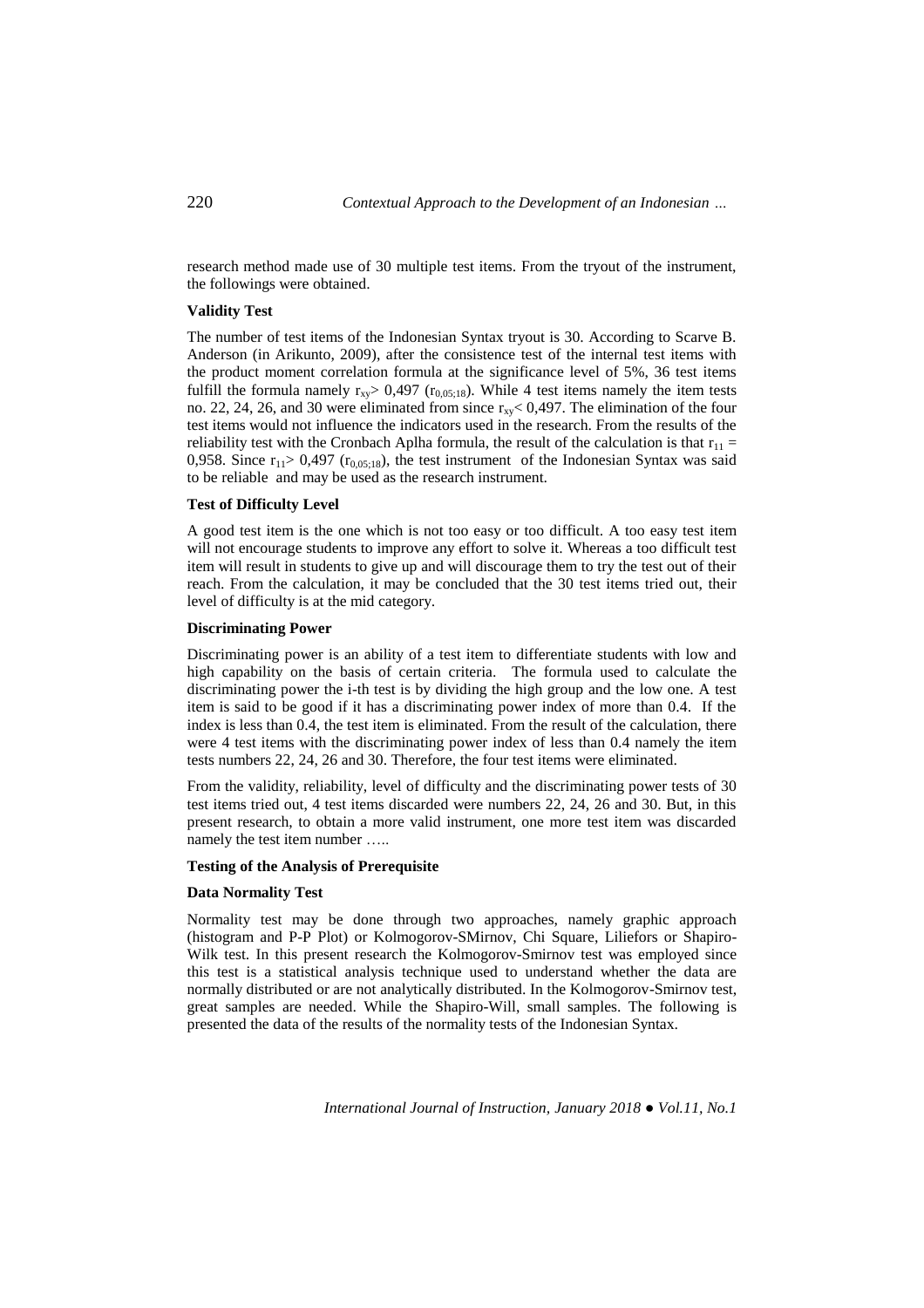research method made use of 30 multiple test items. From the tryout of the instrument, the followings were obtained.

### **Validity Test**

The number of test items of the Indonesian Syntax tryout is 30. According to Scarve B. Anderson (in Arikunto, 2009), after the consistence test of the internal test items with the product moment correlation formula at the significance level of 5%, 36 test items fulfill the formula namely  $r_{xy} > 0.497$  ( $r_{0.05;18}$ ). While 4 test items namely the item tests no. 22, 24, 26, and 30 were eliminated from since  $r_{xy}$  0,497. The elimination of the four test items would not influence the indicators used in the research. From the results of the reliability test with the Cronbach Aplha formula, the result of the calculation is that  $r_{11}$  = 0,958. Since  $r_{11}$  > 0,497 ( $r_{0.05:18}$ ), the test instrument of the Indonesian Syntax was said to be reliable and may be used as the research instrument.

#### **Test of Difficulty Level**

A good test item is the one which is not too easy or too difficult. A too easy test item will not encourage students to improve any effort to solve it. Whereas a too difficult test item will result in students to give up and will discourage them to try the test out of their reach. From the calculation, it may be concluded that the 30 test items tried out, their level of difficulty is at the mid category.

#### **Discriminating Power**

Discriminating power is an ability of a test item to differentiate students with low and high capability on the basis of certain criteria. The formula used to calculate the discriminating power the i-th test is by dividing the high group and the low one. A test item is said to be good if it has a discriminating power index of more than 0.4. If the index is less than 0.4, the test item is eliminated. From the result of the calculation, there were 4 test items with the discriminating power index of less than 0.4 namely the item tests numbers 22, 24, 26 and 30. Therefore, the four test items were eliminated.

From the validity, reliability, level of difficulty and the discriminating power tests of 30 test items tried out, 4 test items discarded were numbers 22, 24, 26 and 30. But, in this present research, to obtain a more valid instrument, one more test item was discarded namely the test item number …..

### **Testing of the Analysis of Prerequisite**

### **Data Normality Test**

Normality test may be done through two approaches, namely graphic approach (histogram and P-P Plot) or Kolmogorov-SMirnov, Chi Square, Liliefors or Shapiro-Wilk test. In this present research the Kolmogorov-Smirnov test was employed since this test is a statistical analysis technique used to understand whether the data are normally distributed or are not analytically distributed. In the Kolmogorov-Smirnov test, great samples are needed. While the Shapiro-Will, small samples. The following is presented the data of the results of the normality tests of the Indonesian Syntax.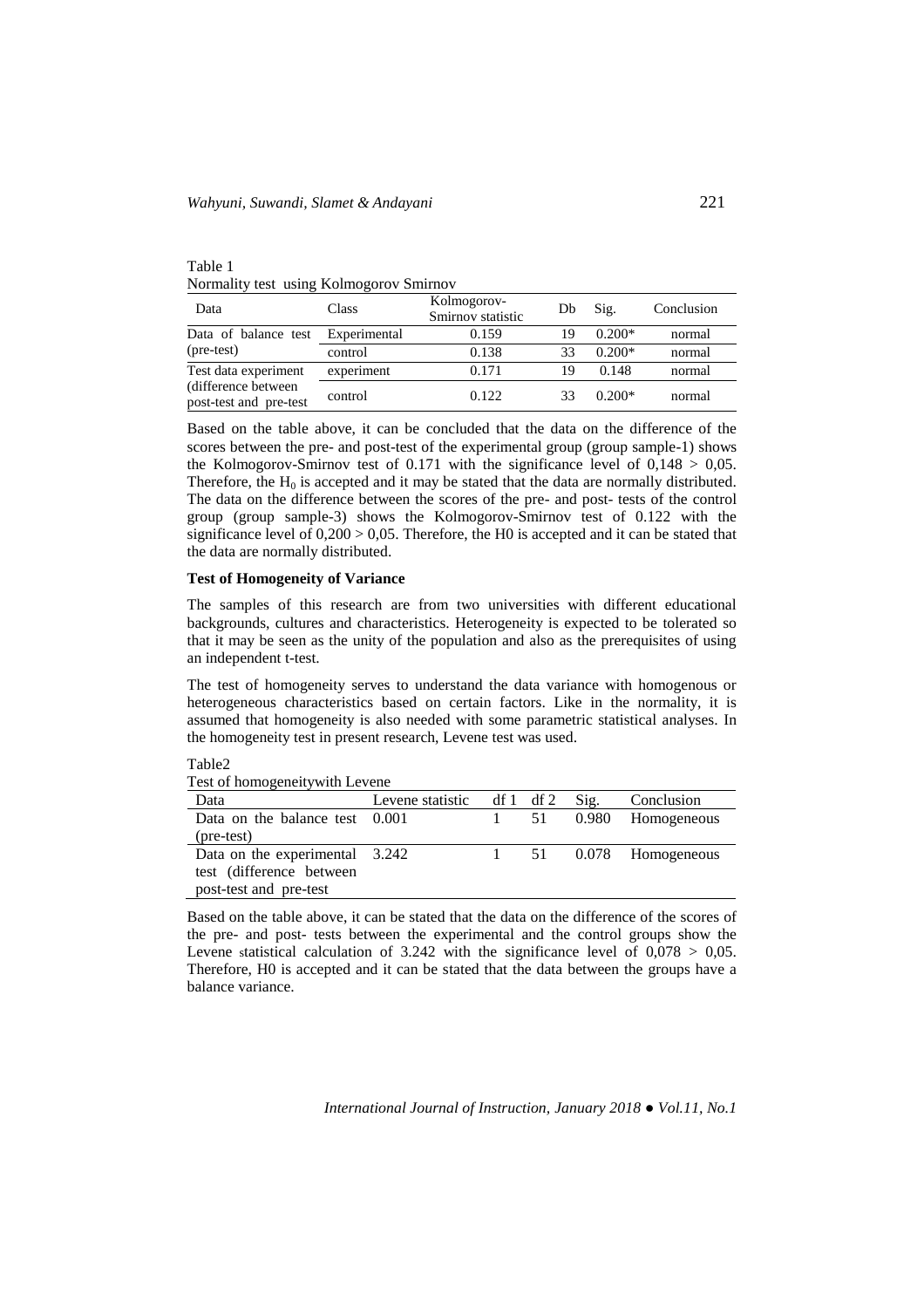| Table 1 |                                         |
|---------|-----------------------------------------|
|         | Normality test using Kolmogorov Smirnov |

| Data                                           | Class        | Kolmogorov-<br>Smirnov statistic | Db | Sig.     | Conclusion |
|------------------------------------------------|--------------|----------------------------------|----|----------|------------|
| Data of balance test                           | Experimental | 0.159                            | 19 | $0.200*$ | normal     |
| (pre-test)                                     | control      | 0.138                            | 33 | $0.200*$ | normal     |
| Test data experiment                           | experiment   | 0.171                            | 19 | 0.148    | normal     |
| (difference between)<br>post-test and pre-test | control      | 0.122                            | 33 | $0.200*$ | normal     |

Based on the table above, it can be concluded that the data on the difference of the scores between the pre- and post-test of the experimental group (group sample-1) shows the Kolmogorov-Smirnov test of 0.171 with the significance level of  $0,148 > 0,05$ . Therefore, the  $H_0$  is accepted and it may be stated that the data are normally distributed. The data on the difference between the scores of the pre- and post- tests of the control group (group sample-3) shows the Kolmogorov-Smirnov test of 0.122 with the significance level of  $0,200 > 0,05$ . Therefore, the H0 is accepted and it can be stated that the data are normally distributed.

#### **Test of Homogeneity of Variance**

The samples of this research are from two universities with different educational backgrounds, cultures and characteristics. Heterogeneity is expected to be tolerated so that it may be seen as the unity of the population and also as the prerequisites of using an independent t-test.

The test of homogeneity serves to understand the data variance with homogenous or heterogeneous characteristics based on certain factors. Like in the normality, it is assumed that homogeneity is also needed with some parametric statistical analyses. In the homogeneity test in present research, Levene test was used.

#### Table2

| Test of homogeneity with Levene |  |
|---------------------------------|--|
|---------------------------------|--|

| Data                           | Levene statistic $df 1 df 2 Sig.$ |  | Conclusion           |
|--------------------------------|-----------------------------------|--|----------------------|
| Data on the balance test 0.001 |                                   |  | 51 0.980 Homogeneous |
| (pre-test)                     |                                   |  |                      |
| Data on the experimental 3.242 |                                   |  | 51 0.078 Homogeneous |
| test (difference between       |                                   |  |                      |
| post-test and pre-test         |                                   |  |                      |

Based on the table above, it can be stated that the data on the difference of the scores of the pre- and post- tests between the experimental and the control groups show the Levene statistical calculation of 3.242 with the significance level of  $0,078 > 0,05$ . Therefore, H0 is accepted and it can be stated that the data between the groups have a balance variance.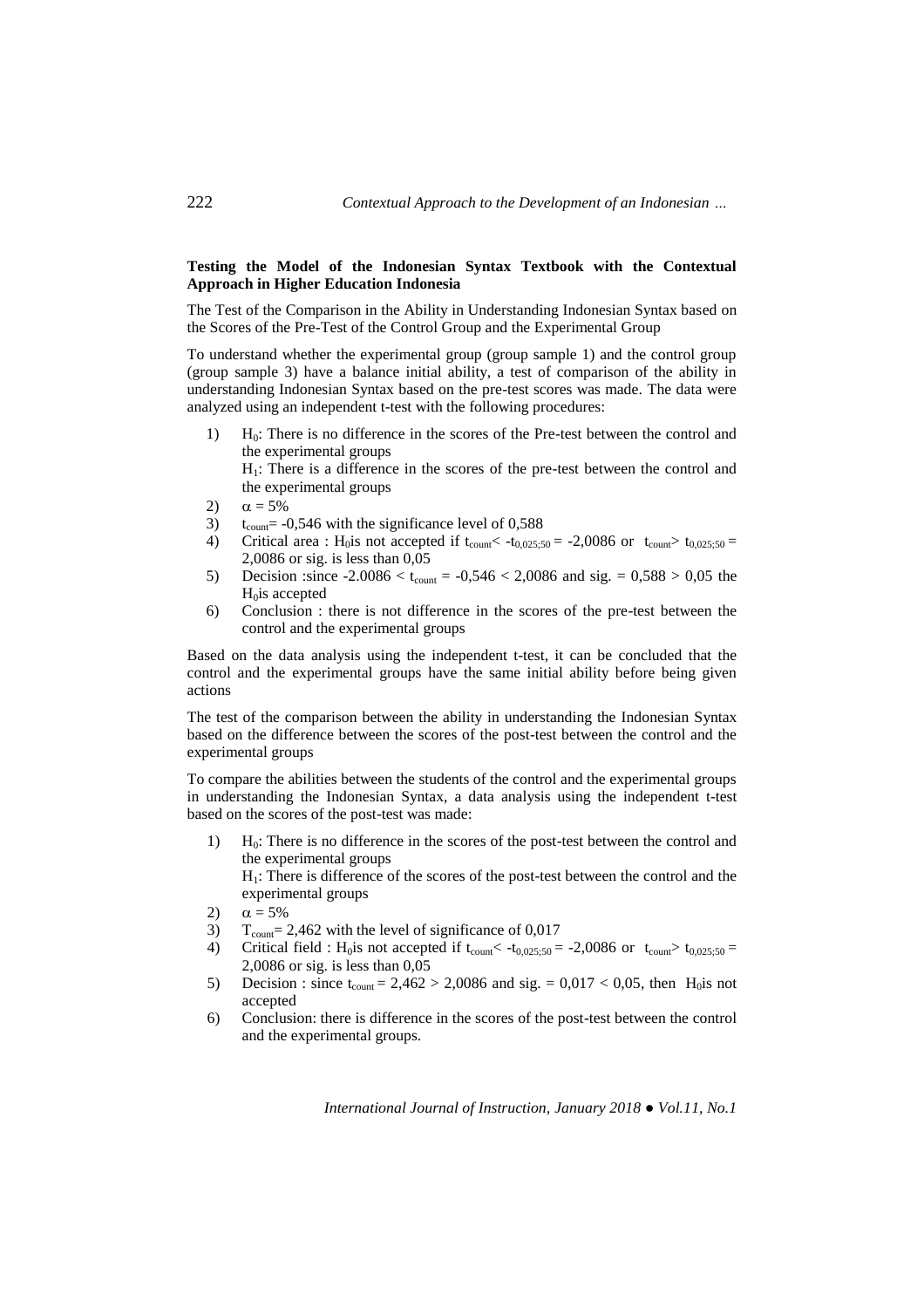## **Testing the Model of the Indonesian Syntax Textbook with the Contextual Approach in Higher Education Indonesia**

The Test of the Comparison in the Ability in Understanding Indonesian Syntax based on the Scores of the Pre-Test of the Control Group and the Experimental Group

To understand whether the experimental group (group sample 1) and the control group (group sample 3) have a balance initial ability, a test of comparison of the ability in understanding Indonesian Syntax based on the pre-test scores was made. The data were analyzed using an independent t-test with the following procedures:

1) H<sub>0</sub>: There is no difference in the scores of the Pre-test between the control and the experimental groups  $H<sub>1</sub>$ : There is a difference in the scores of the pre-test between the control and

the experimental groups

- 2)  $\alpha = 5\%$
- 3)  $t_{\text{count}} = -0.546$  with the significance level of 0,588<br>4) Critical area : Hois not accepted if  $t_{\text{count}} < -t_{0.0255}$
- Critical area : H<sub>0</sub>is not accepted if  $t_{\text{count}}$  - $t_{0,025;50}$  = -2,0086 or  $t_{\text{count}}$   $t_{0,025;50}$  = 2,0086 or sig. is less than 0,05
- 5) Decision :since  $-2.0086 < t_{\text{count}} = -0.546 < 2.0086$  and sig. = 0.588 > 0.05 the H<sub>o</sub>is accepted
- 6) Conclusion : there is not difference in the scores of the pre-test between the control and the experimental groups

Based on the data analysis using the independent t-test, it can be concluded that the control and the experimental groups have the same initial ability before being given actions

The test of the comparison between the ability in understanding the Indonesian Syntax based on the difference between the scores of the post-test between the control and the experimental groups

To compare the abilities between the students of the control and the experimental groups in understanding the Indonesian Syntax, a data analysis using the independent t-test based on the scores of the post-test was made:

1) H<sub>0</sub>: There is no difference in the scores of the post-test between the control and the experimental groups

 $H_1$ : There is difference of the scores of the post-test between the control and the experimental groups

- 2)  $\alpha = 5\%$
- 3)  $T_{\text{count}} = 2,462$  with the level of significance of 0,017<br>4) Critical field : Hois not accepted if  $t_{\text{count}} < -t_{0.02550} =$
- Critical field : H<sub>0</sub>is not accepted if  $t_{\text{count}} < -t_{0.025;50} = -2,0086$  or  $t_{\text{count}} > t_{0.025;50} =$ 2,0086 or sig. is less than 0,05
- 5) Decision : since  $t_{\text{count}} = 2,462 > 2,0086$  and sig. = 0,017 < 0,05, then  $H_0$  is not accepted
- 6) Conclusion: there is difference in the scores of the post-test between the control and the experimental groups.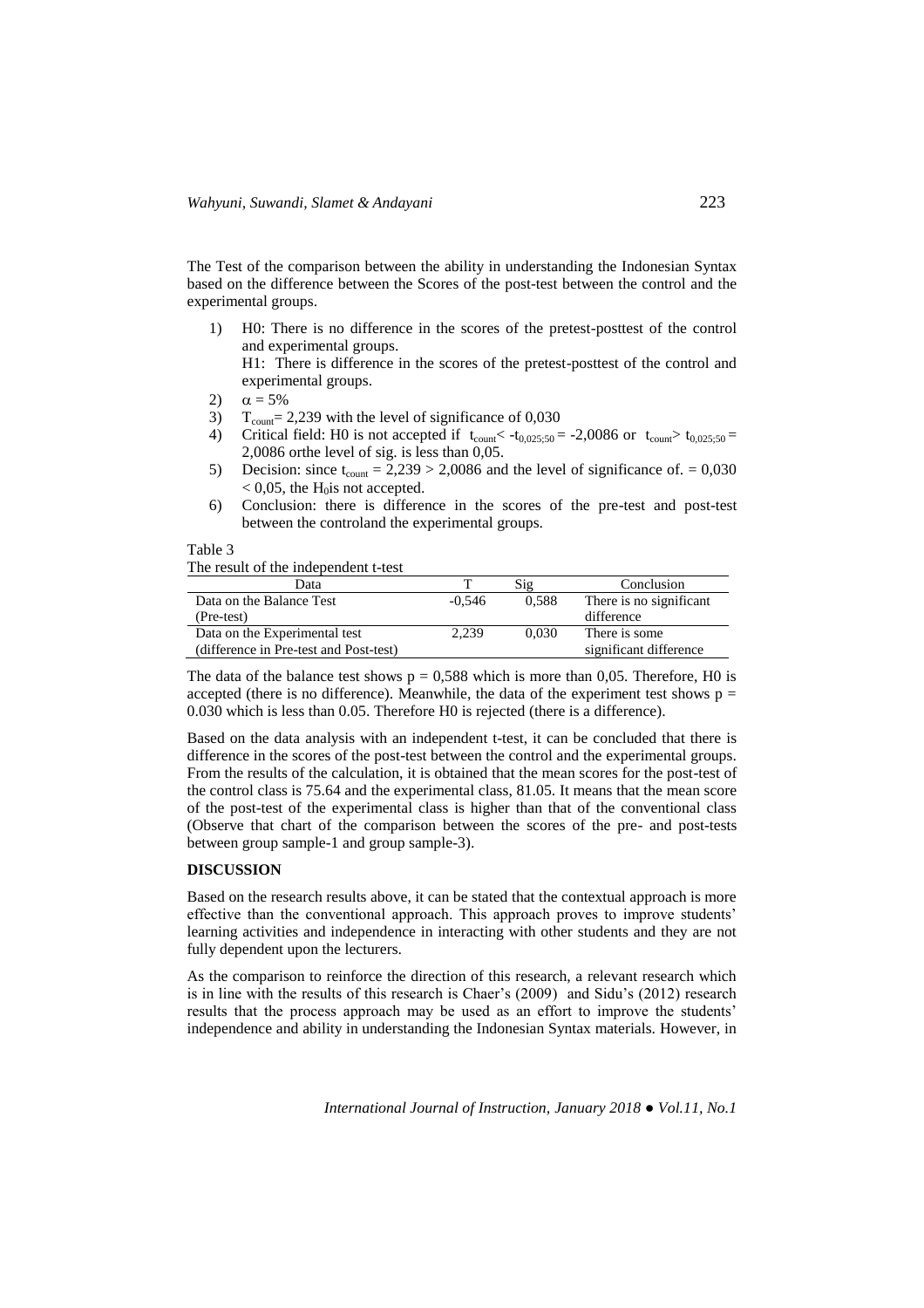The Test of the comparison between the ability in understanding the Indonesian Syntax based on the difference between the Scores of the post-test between the control and the experimental groups.

1) H0: There is no difference in the scores of the pretest-posttest of the control and experimental groups.

H1: There is difference in the scores of the pretest-posttest of the control and experimental groups.

- 2)  $\alpha = 5\%$
- 3)  $T_{\text{count}} = 2,239$  with the level of significance of 0,030<br>4) Critical field: H0 is not accepted if  $t_{\text{count}} < -t_{0.025 \cdot 50}$
- Critical field: H0 is not accepted if  $t_{\text{count}}$  - $t_{0.025:50}$  = -2,0086 or  $t_{\text{count}}$  +  $t_{0.025:50}$  = 2,0086 orthe level of sig. is less than 0,05.
- 5) Decision: since  $t_{\text{count}} = 2,239 > 2,0086$  and the level of significance of. = 0,030  $< 0.05$ , the H<sub>0</sub>is not accepted.
- 6) Conclusion: there is difference in the scores of the pre-test and post-test between the controland the experimental groups.

Table 3 The result of the independent t-test

| Data                                   |          | $\mathrm{Si}\mathrm{g}$ | Conclusion              |
|----------------------------------------|----------|-------------------------|-------------------------|
| Data on the Balance Test               | $-0.546$ | 0.588                   | There is no significant |
| (Pre-test)                             |          |                         | difference              |
| Data on the Experimental test          | 2.239    | 0.030                   | There is some           |
| (difference in Pre-test and Post-test) |          |                         | significant difference  |

The data of the balance test shows  $p = 0.588$  which is more than 0,05. Therefore, H0 is accepted (there is no difference). Meanwhile, the data of the experiment test shows  $p =$ 0.030 which is less than 0.05. Therefore H0 is rejected (there is a difference).

Based on the data analysis with an independent t-test, it can be concluded that there is difference in the scores of the post-test between the control and the experimental groups. From the results of the calculation, it is obtained that the mean scores for the post-test of the control class is 75.64 and the experimental class, 81.05. It means that the mean score of the post-test of the experimental class is higher than that of the conventional class (Observe that chart of the comparison between the scores of the pre- and post-tests between group sample-1 and group sample-3).

#### **DISCUSSION**

Based on the research results above, it can be stated that the contextual approach is more effective than the conventional approach. This approach proves to improve students' learning activities and independence in interacting with other students and they are not fully dependent upon the lecturers.

As the comparison to reinforce the direction of this research, a relevant research which is in line with the results of this research is Chaer's (2009) and Sidu's (2012) research results that the process approach may be used as an effort to improve the students' independence and ability in understanding the Indonesian Syntax materials. However, in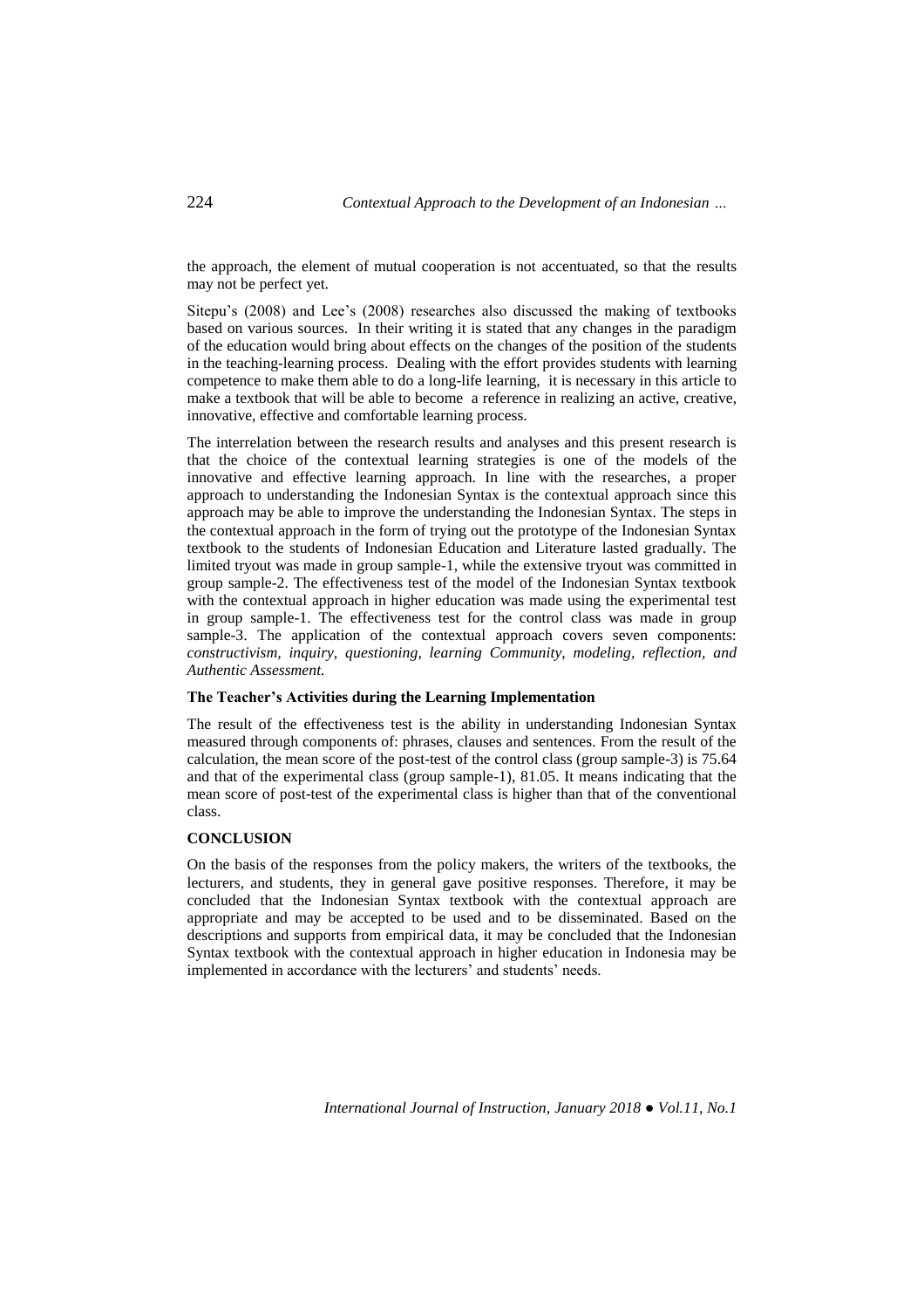the approach, the element of mutual cooperation is not accentuated, so that the results may not be perfect yet.

Sitepu's (2008) and Lee's (2008) researches also discussed the making of textbooks based on various sources. In their writing it is stated that any changes in the paradigm of the education would bring about effects on the changes of the position of the students in the teaching-learning process. Dealing with the effort provides students with learning competence to make them able to do a long-life learning, it is necessary in this article to make a textbook that will be able to become a reference in realizing an active, creative, innovative, effective and comfortable learning process.

The interrelation between the research results and analyses and this present research is that the choice of the contextual learning strategies is one of the models of the innovative and effective learning approach. In line with the researches, a proper approach to understanding the Indonesian Syntax is the contextual approach since this approach may be able to improve the understanding the Indonesian Syntax. The steps in the contextual approach in the form of trying out the prototype of the Indonesian Syntax textbook to the students of Indonesian Education and Literature lasted gradually. The limited tryout was made in group sample-1, while the extensive tryout was committed in group sample-2. The effectiveness test of the model of the Indonesian Syntax textbook with the contextual approach in higher education was made using the experimental test in group sample-1. The effectiveness test for the control class was made in group sample-3. The application of the contextual approach covers seven components: *constructivism, inquiry, questioning, learning Community, modeling, reflection, and Authentic Assessment.*

#### **The Teacher's Activities during the Learning Implementation**

The result of the effectiveness test is the ability in understanding Indonesian Syntax measured through components of: phrases, clauses and sentences. From the result of the calculation, the mean score of the post-test of the control class (group sample-3) is 75.64 and that of the experimental class (group sample-1), 81.05. It means indicating that the mean score of post-test of the experimental class is higher than that of the conventional class.

### **CONCLUSION**

On the basis of the responses from the policy makers, the writers of the textbooks, the lecturers, and students, they in general gave positive responses. Therefore, it may be concluded that the Indonesian Syntax textbook with the contextual approach are appropriate and may be accepted to be used and to be disseminated. Based on the descriptions and supports from empirical data, it may be concluded that the Indonesian Syntax textbook with the contextual approach in higher education in Indonesia may be implemented in accordance with the lecturers' and students' needs.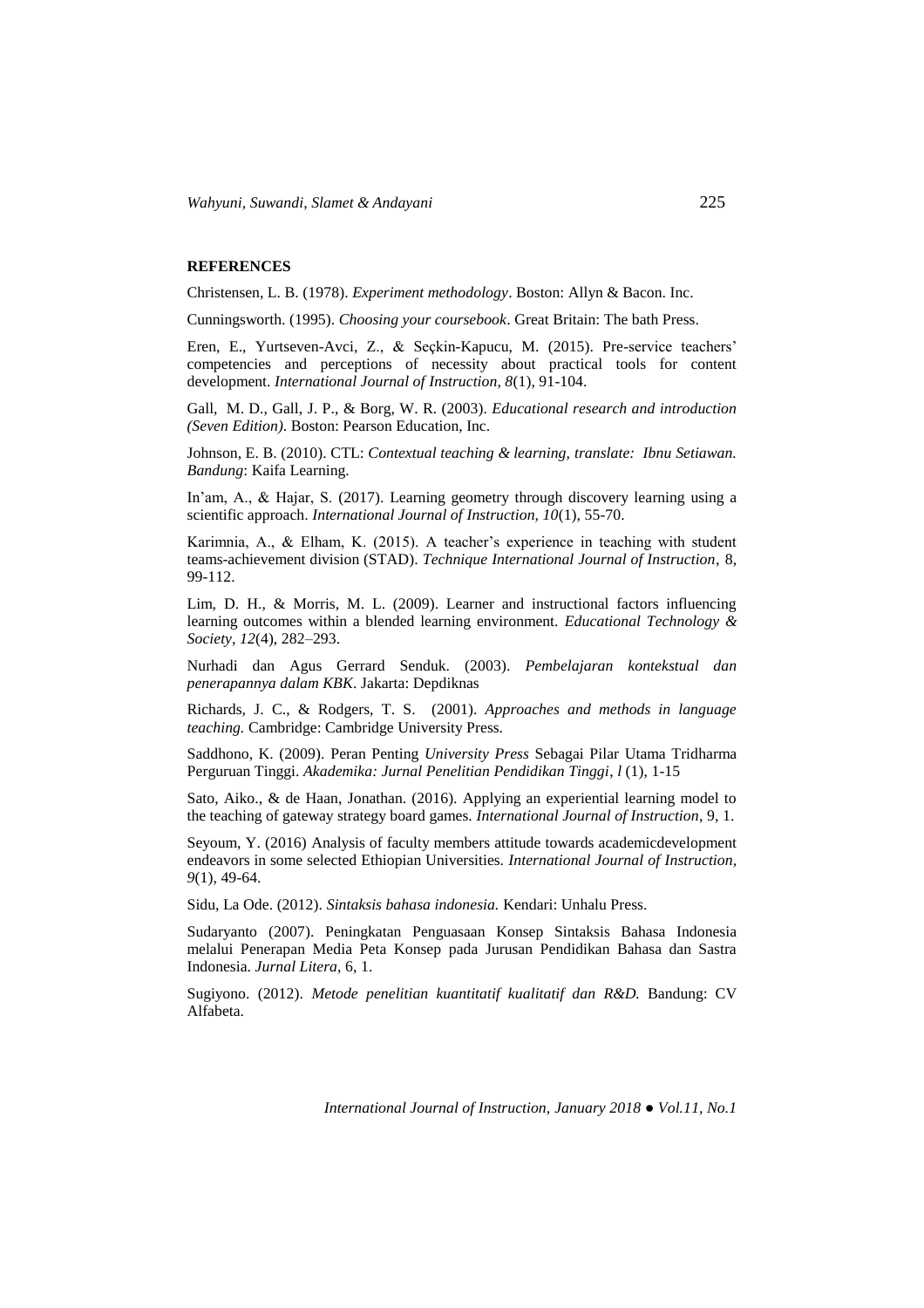*Wahyuni, Suwandi, Slamet & Andayani* 225

# **REFERENCES**

Christensen, L. B. (1978). *Experiment methodology*. Boston: Allyn & Bacon. Inc.

Cunningsworth. (1995). *Choosing your coursebook*. Great Britain: The bath Press.

Eren, E., Yurtseven-Avci, Z., & Seçkin-Kapucu, M. (2015). Pre-service teachers' competencies and perceptions of necessity about practical tools for content development. *International Journal of Instruction, 8*(1), 91-104.

Gall, M. D., Gall, J. P., & Borg, W. R. (2003). *Educational research and introduction (Seven Edition)*. Boston: Pearson Education, Inc.

Johnson, E. B. (2010). CTL: *Contextual teaching & learning, translate: Ibnu Setiawan. Bandung*: Kaifa Learning.

In'am, A., & Hajar, S. (2017). Learning geometry through discovery learning using a scientific approach. *International Journal of Instruction, 10*(1), 55-70.

Karimnia, A., & Elham, K. (2015). A teacher's experience in teaching with student teams-achievement division (STAD). *Technique International Journal of Instruction*, 8, 99-112.

Lim, D. H., & Morris, M. L. (2009). Learner and instructional factors influencing learning outcomes within a blended learning environment. *Educational Technology & Society, 12*(4), 282–293.

Nurhadi dan Agus Gerrard Senduk. (2003). *Pembelajaran kontekstual dan penerapannya dalam KBK*. Jakarta: Depdiknas

Richards, J. C., & Rodgers, T. S. (2001). *Approaches and methods in language teaching.* Cambridge: Cambridge University Press.

Saddhono, K. (2009). Peran Penting *University Press* Sebagai Pilar Utama Tridharma Perguruan Tinggi. *Akademika: Jurnal Penelitian Pendidikan Tinggi*, *l* (1), 1-15

Sato, Aiko., & de Haan, Jonathan. (2016). Applying an experiential learning model to the teaching of gateway strategy board games. *International Journal of Instruction*, 9, 1.

Seyoum, Y. (2016) Analysis of faculty members attitude towards academicdevelopment endeavors in some selected Ethiopian Universities. *International Journal of Instruction, 9*(1), 49-64.

Sidu, La Ode. (2012). *Sintaksis bahasa indonesia.* Kendari: Unhalu Press.

Sudaryanto (2007). Peningkatan Penguasaan Konsep Sintaksis Bahasa Indonesia melalui Penerapan Media Peta Konsep pada Jurusan Pendidikan Bahasa dan Sastra Indonesia. *Jurnal Litera*, 6, 1.

Sugiyono. (2012). *Metode penelitian kuantitatif kualitatif dan R&D.* Bandung: CV Alfabeta.